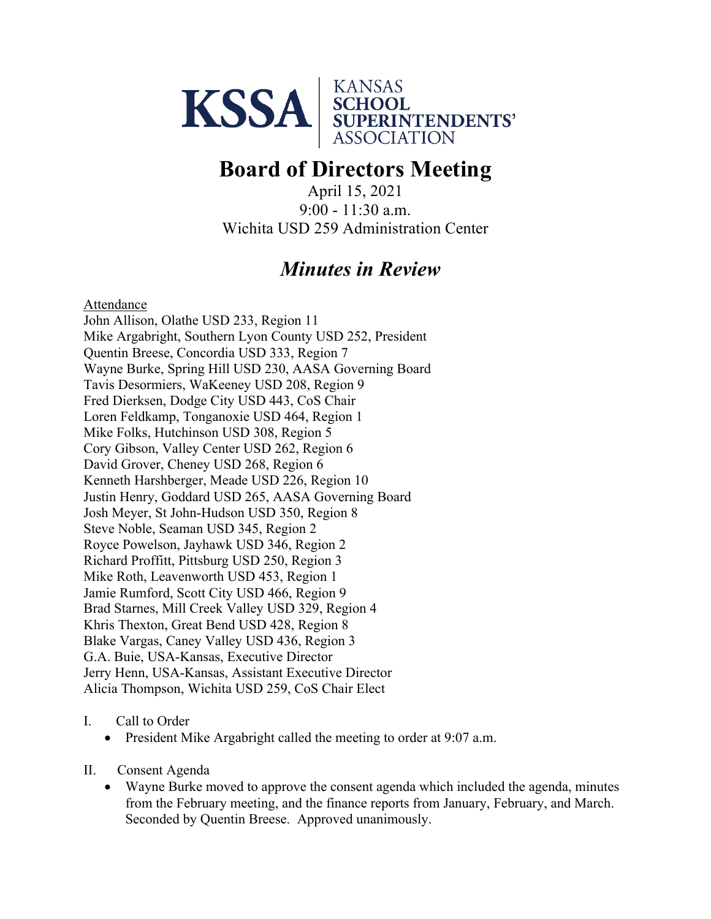

# **Board of Directors Meeting**

April 15, 2021 9:00 - 11:30 a.m. Wichita USD 259 Administration Center

## *Minutes in Review*

Attendance

John Allison, Olathe USD 233, Region 11 Mike Argabright, Southern Lyon County USD 252, President Quentin Breese, Concordia USD 333, Region 7 Wayne Burke, Spring Hill USD 230, AASA Governing Board Tavis Desormiers, WaKeeney USD 208, Region 9 Fred Dierksen, Dodge City USD 443, CoS Chair Loren Feldkamp, Tonganoxie USD 464, Region 1 Mike Folks, Hutchinson USD 308, Region 5 Cory Gibson, Valley Center USD 262, Region 6 David Grover, Cheney USD 268, Region 6 Kenneth Harshberger, Meade USD 226, Region 10 Justin Henry, Goddard USD 265, AASA Governing Board Josh Meyer, St John-Hudson USD 350, Region 8 Steve Noble, Seaman USD 345, Region 2 Royce Powelson, Jayhawk USD 346, Region 2 Richard Proffitt, Pittsburg USD 250, Region 3 Mike Roth, Leavenworth USD 453, Region 1 Jamie Rumford, Scott City USD 466, Region 9 Brad Starnes, Mill Creek Valley USD 329, Region 4 Khris Thexton, Great Bend USD 428, Region 8 Blake Vargas, Caney Valley USD 436, Region 3 G.A. Buie, USA-Kansas, Executive Director Jerry Henn, USA-Kansas, Assistant Executive Director Alicia Thompson, Wichita USD 259, CoS Chair Elect

#### I. Call to Order

- President Mike Argabright called the meeting to order at 9:07 a.m.
- II. Consent Agenda
	- Wayne Burke moved to approve the consent agenda which included the agenda, minutes from the February meeting, and the finance reports from January, February, and March. Seconded by Quentin Breese. Approved unanimously.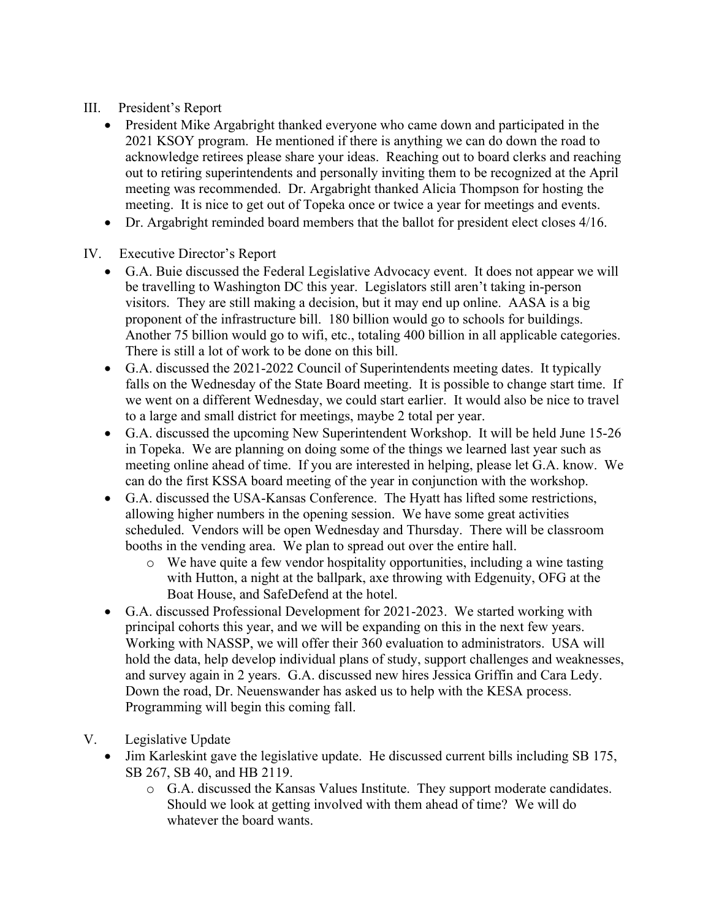#### III. President's Report

- President Mike Argabright thanked everyone who came down and participated in the 2021 KSOY program. He mentioned if there is anything we can do down the road to acknowledge retirees please share your ideas. Reaching out to board clerks and reaching out to retiring superintendents and personally inviting them to be recognized at the April meeting was recommended. Dr. Argabright thanked Alicia Thompson for hosting the meeting. It is nice to get out of Topeka once or twice a year for meetings and events.
- Dr. Argabright reminded board members that the ballot for president elect closes 4/16.

### IV. Executive Director's Report

- G.A. Buie discussed the Federal Legislative Advocacy event. It does not appear we will be travelling to Washington DC this year. Legislators still aren't taking in-person visitors. They are still making a decision, but it may end up online. AASA is a big proponent of the infrastructure bill. 180 billion would go to schools for buildings. Another 75 billion would go to wifi, etc., totaling 400 billion in all applicable categories. There is still a lot of work to be done on this bill.
- G.A. discussed the 2021-2022 Council of Superintendents meeting dates. It typically falls on the Wednesday of the State Board meeting. It is possible to change start time. If we went on a different Wednesday, we could start earlier. It would also be nice to travel to a large and small district for meetings, maybe 2 total per year.
- G.A. discussed the upcoming New Superintendent Workshop. It will be held June 15-26 in Topeka. We are planning on doing some of the things we learned last year such as meeting online ahead of time. If you are interested in helping, please let G.A. know. We can do the first KSSA board meeting of the year in conjunction with the workshop.
- G.A. discussed the USA-Kansas Conference. The Hyatt has lifted some restrictions, allowing higher numbers in the opening session. We have some great activities scheduled. Vendors will be open Wednesday and Thursday. There will be classroom booths in the vending area. We plan to spread out over the entire hall.
	- o We have quite a few vendor hospitality opportunities, including a wine tasting with Hutton, a night at the ballpark, axe throwing with Edgenuity, OFG at the Boat House, and SafeDefend at the hotel.
- G.A. discussed Professional Development for 2021-2023. We started working with principal cohorts this year, and we will be expanding on this in the next few years. Working with NASSP, we will offer their 360 evaluation to administrators. USA will hold the data, help develop individual plans of study, support challenges and weaknesses, and survey again in 2 years. G.A. discussed new hires Jessica Griffin and Cara Ledy. Down the road, Dr. Neuenswander has asked us to help with the KESA process. Programming will begin this coming fall.
- V. Legislative Update
	- Jim Karleskint gave the legislative update. He discussed current bills including SB 175, SB 267, SB 40, and HB 2119.
		- o G.A. discussed the Kansas Values Institute. They support moderate candidates. Should we look at getting involved with them ahead of time? We will do whatever the board wants.